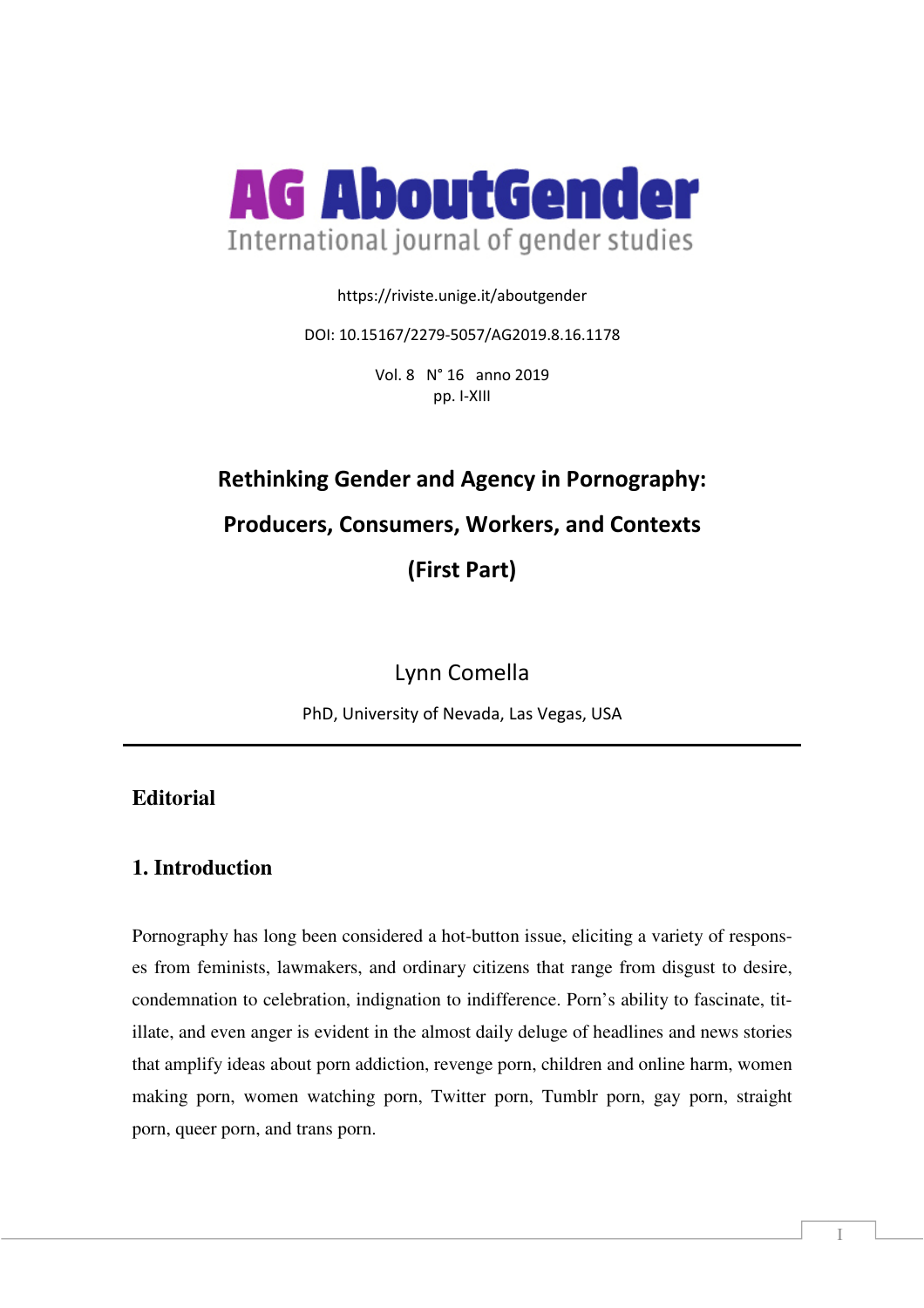

https://riviste.unige.it/aboutgender

DOI: 10.15167/2279-5057/AG2019.8.16.1178

Vol. 8 N° 16 anno 2019 pp. I-XIII

# **Rethinking Gender and Agency in Pornography: Producers, Consumers, Workers, and Contexts (First Part)**

Lynn Comella

PhD, University of Nevada, Las Vegas, USA

## **Editorial**

## **1. Introduction**

Pornography has long been considered a hot-button issue, eliciting a variety of responses from feminists, lawmakers, and ordinary citizens that range from disgust to desire, condemnation to celebration, indignation to indifference. Porn's ability to fascinate, titillate, and even anger is evident in the almost daily deluge of headlines and news stories that amplify ideas about porn addiction, revenge porn, children and online harm, women making porn, women watching porn, Twitter porn, Tumblr porn, gay porn, straight porn, queer porn, and trans porn.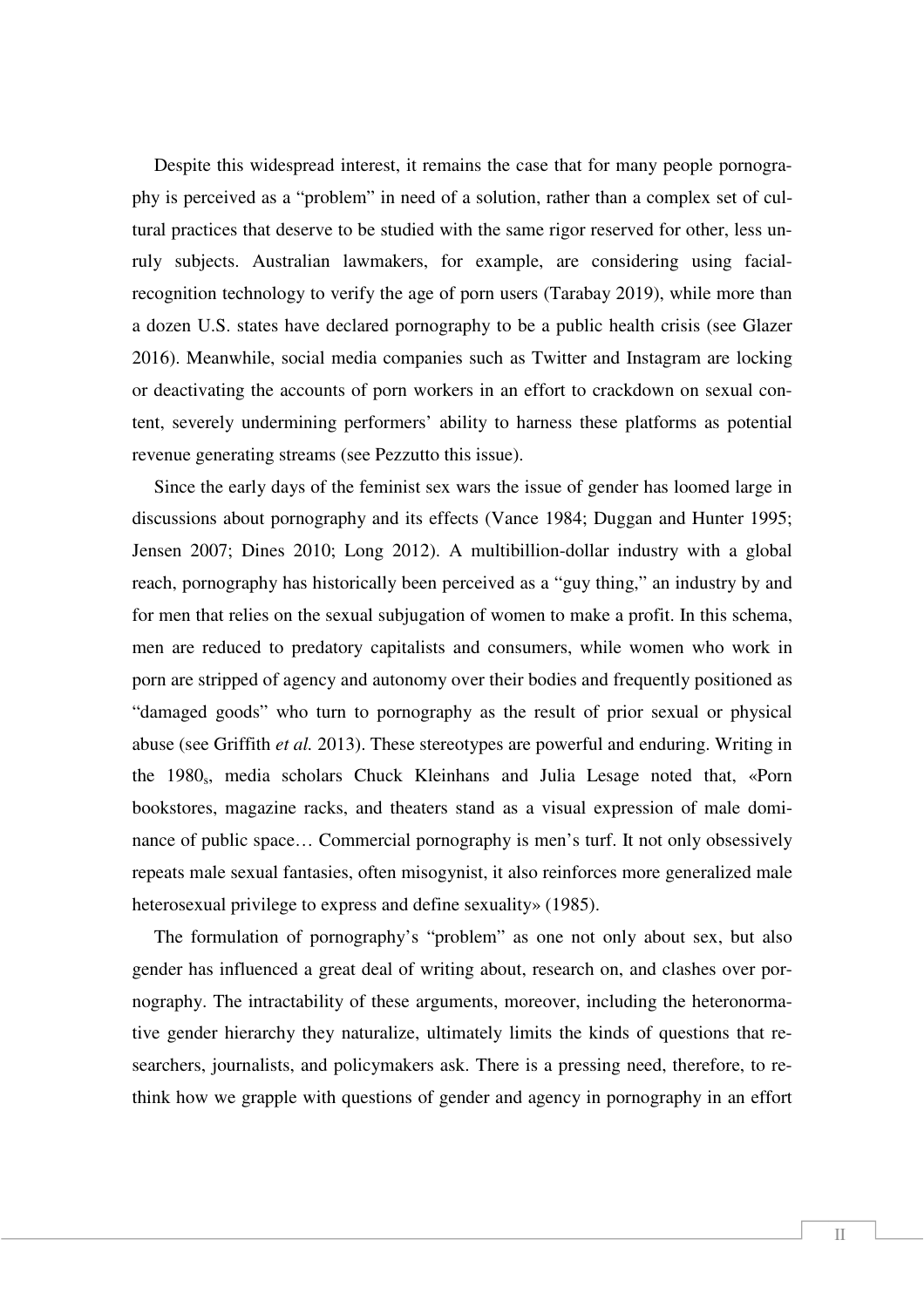Despite this widespread interest, it remains the case that for many people pornography is perceived as a "problem" in need of a solution, rather than a complex set of cultural practices that deserve to be studied with the same rigor reserved for other, less unruly subjects. Australian lawmakers, for example, are considering using facialrecognition technology to verify the age of porn users (Tarabay 2019), while more than a dozen U.S. states have declared pornography to be a public health crisis (see Glazer 2016). Meanwhile, social media companies such as Twitter and Instagram are locking or deactivating the accounts of porn workers in an effort to crackdown on sexual content, severely undermining performers' ability to harness these platforms as potential revenue generating streams (see Pezzutto this issue).

Since the early days of the feminist sex wars the issue of gender has loomed large in discussions about pornography and its effects (Vance 1984; Duggan and Hunter 1995; Jensen 2007; Dines 2010; Long 2012). A multibillion-dollar industry with a global reach, pornography has historically been perceived as a "guy thing," an industry by and for men that relies on the sexual subjugation of women to make a profit. In this schema, men are reduced to predatory capitalists and consumers, while women who work in porn are stripped of agency and autonomy over their bodies and frequently positioned as "damaged goods" who turn to pornography as the result of prior sexual or physical abuse (see Griffith *et al.* 2013). These stereotypes are powerful and enduring. Writing in the 1980s, media scholars Chuck Kleinhans and Julia Lesage noted that, «Porn bookstores, magazine racks, and theaters stand as a visual expression of male dominance of public space… Commercial pornography is men's turf. It not only obsessively repeats male sexual fantasies, often misogynist, it also reinforces more generalized male heterosexual privilege to express and define sexuality» (1985).

The formulation of pornography's "problem" as one not only about sex, but also gender has influenced a great deal of writing about, research on, and clashes over pornography. The intractability of these arguments, moreover, including the heteronormative gender hierarchy they naturalize, ultimately limits the kinds of questions that researchers, journalists, and policymakers ask. There is a pressing need, therefore, to rethink how we grapple with questions of gender and agency in pornography in an effort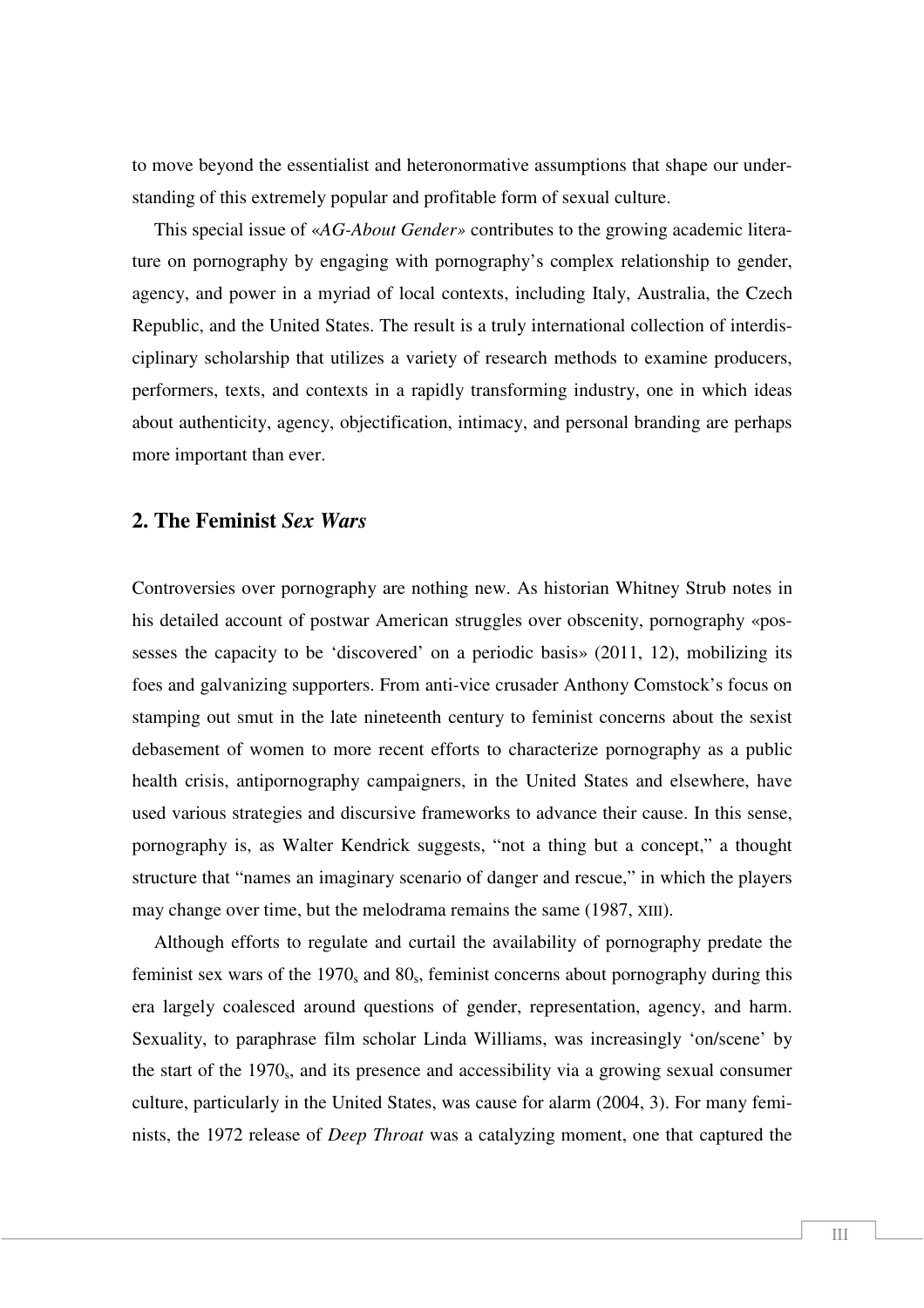to move beyond the essentialist and heteronormative assumptions that shape our understanding of this extremely popular and profitable form of sexual culture.

This special issue of «*AG-About Gender»* contributes to the growing academic literature on pornography by engaging with pornography's complex relationship to gender, agency, and power in a myriad of local contexts, including Italy, Australia, the Czech Republic, and the United States. The result is a truly international collection of interdisciplinary scholarship that utilizes a variety of research methods to examine producers, performers, texts, and contexts in a rapidly transforming industry, one in which ideas about authenticity, agency, objectification, intimacy, and personal branding are perhaps more important than ever.

### **2. The Feminist** *Sex Wars*

Controversies over pornography are nothing new. As historian Whitney Strub notes in his detailed account of postwar American struggles over obscenity, pornography «possesses the capacity to be 'discovered' on a periodic basis» (2011, 12), mobilizing its foes and galvanizing supporters. From anti-vice crusader Anthony Comstock's focus on stamping out smut in the late nineteenth century to feminist concerns about the sexist debasement of women to more recent efforts to characterize pornography as a public health crisis, antipornography campaigners, in the United States and elsewhere, have used various strategies and discursive frameworks to advance their cause. In this sense, pornography is, as Walter Kendrick suggests, "not a thing but a concept," a thought structure that "names an imaginary scenario of danger and rescue," in which the players may change over time, but the melodrama remains the same (1987, XIII).

Although efforts to regulate and curtail the availability of pornography predate the feminist sex wars of the  $1970<sub>s</sub>$  and  $80<sub>s</sub>$ , feminist concerns about pornography during this era largely coalesced around questions of gender, representation, agency, and harm. Sexuality, to paraphrase film scholar Linda Williams, was increasingly 'on/scene' by the start of the 1970<sub>s</sub>, and its presence and accessibility via a growing sexual consumer culture, particularly in the United States, was cause for alarm (2004, 3). For many feminists, the 1972 release of *Deep Throat* was a catalyzing moment, one that captured the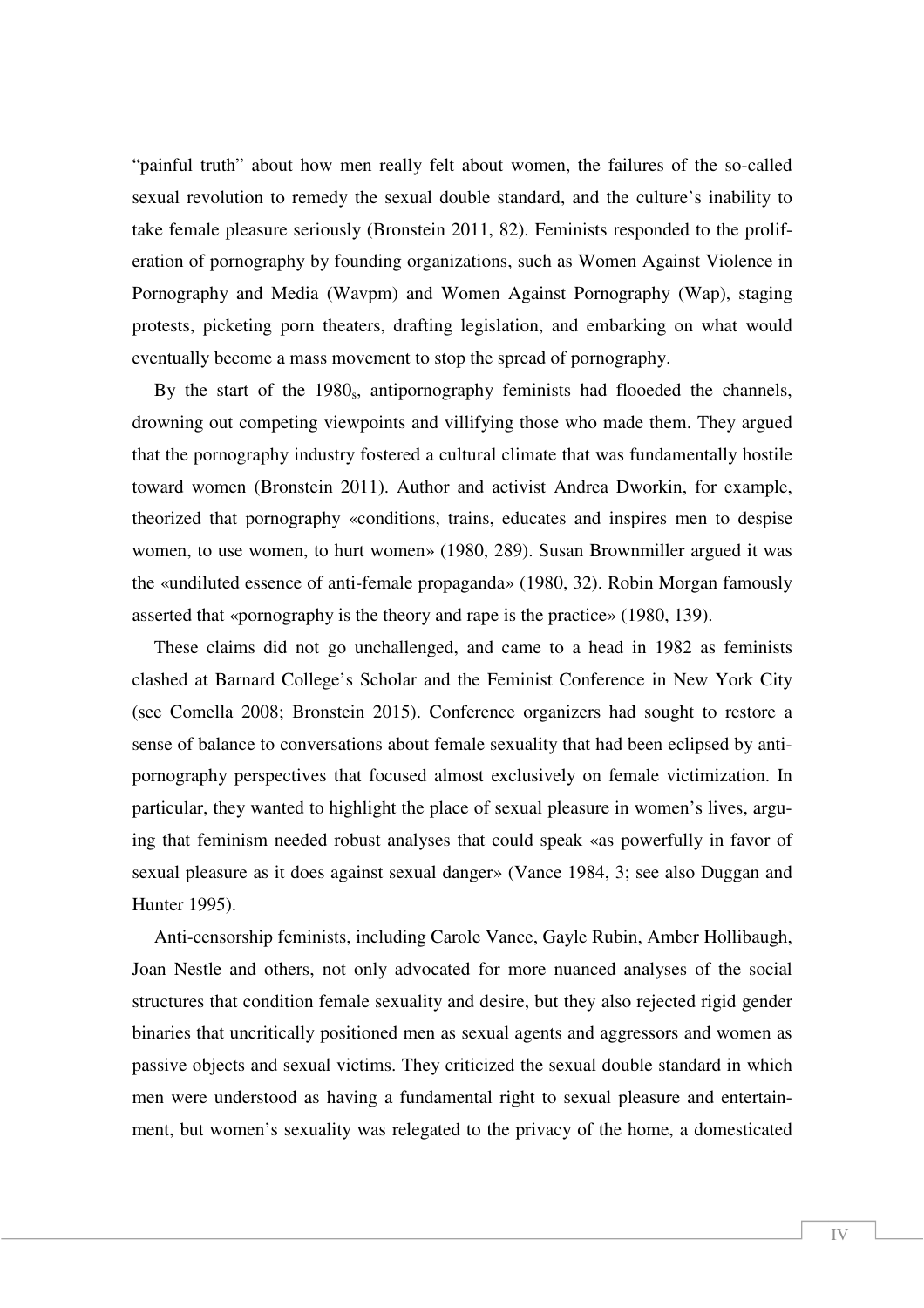"painful truth" about how men really felt about women, the failures of the so-called sexual revolution to remedy the sexual double standard, and the culture's inability to take female pleasure seriously (Bronstein 2011, 82). Feminists responded to the proliferation of pornography by founding organizations, such as Women Against Violence in Pornography and Media (Wavpm) and Women Against Pornography (Wap), staging protests, picketing porn theaters, drafting legislation, and embarking on what would eventually become a mass movement to stop the spread of pornography.

By the start of the 1980<sub>s</sub>, antipornography feminists had flooeded the channels, drowning out competing viewpoints and villifying those who made them. They argued that the pornography industry fostered a cultural climate that was fundamentally hostile toward women (Bronstein 2011). Author and activist Andrea Dworkin, for example, theorized that pornography «conditions, trains, educates and inspires men to despise women, to use women, to hurt women» (1980, 289). Susan Brownmiller argued it was the «undiluted essence of anti-female propaganda» (1980, 32). Robin Morgan famously asserted that «pornography is the theory and rape is the practice» (1980, 139).

These claims did not go unchallenged, and came to a head in 1982 as feminists clashed at Barnard College's Scholar and the Feminist Conference in New York City (see Comella 2008; Bronstein 2015). Conference organizers had sought to restore a sense of balance to conversations about female sexuality that had been eclipsed by antipornography perspectives that focused almost exclusively on female victimization. In particular, they wanted to highlight the place of sexual pleasure in women's lives, arguing that feminism needed robust analyses that could speak «as powerfully in favor of sexual pleasure as it does against sexual danger» (Vance 1984, 3; see also Duggan and Hunter 1995).

Anti-censorship feminists, including Carole Vance, Gayle Rubin, Amber Hollibaugh, Joan Nestle and others, not only advocated for more nuanced analyses of the social structures that condition female sexuality and desire, but they also rejected rigid gender binaries that uncritically positioned men as sexual agents and aggressors and women as passive objects and sexual victims. They criticized the sexual double standard in which men were understood as having a fundamental right to sexual pleasure and entertainment, but women's sexuality was relegated to the privacy of the home, a domesticated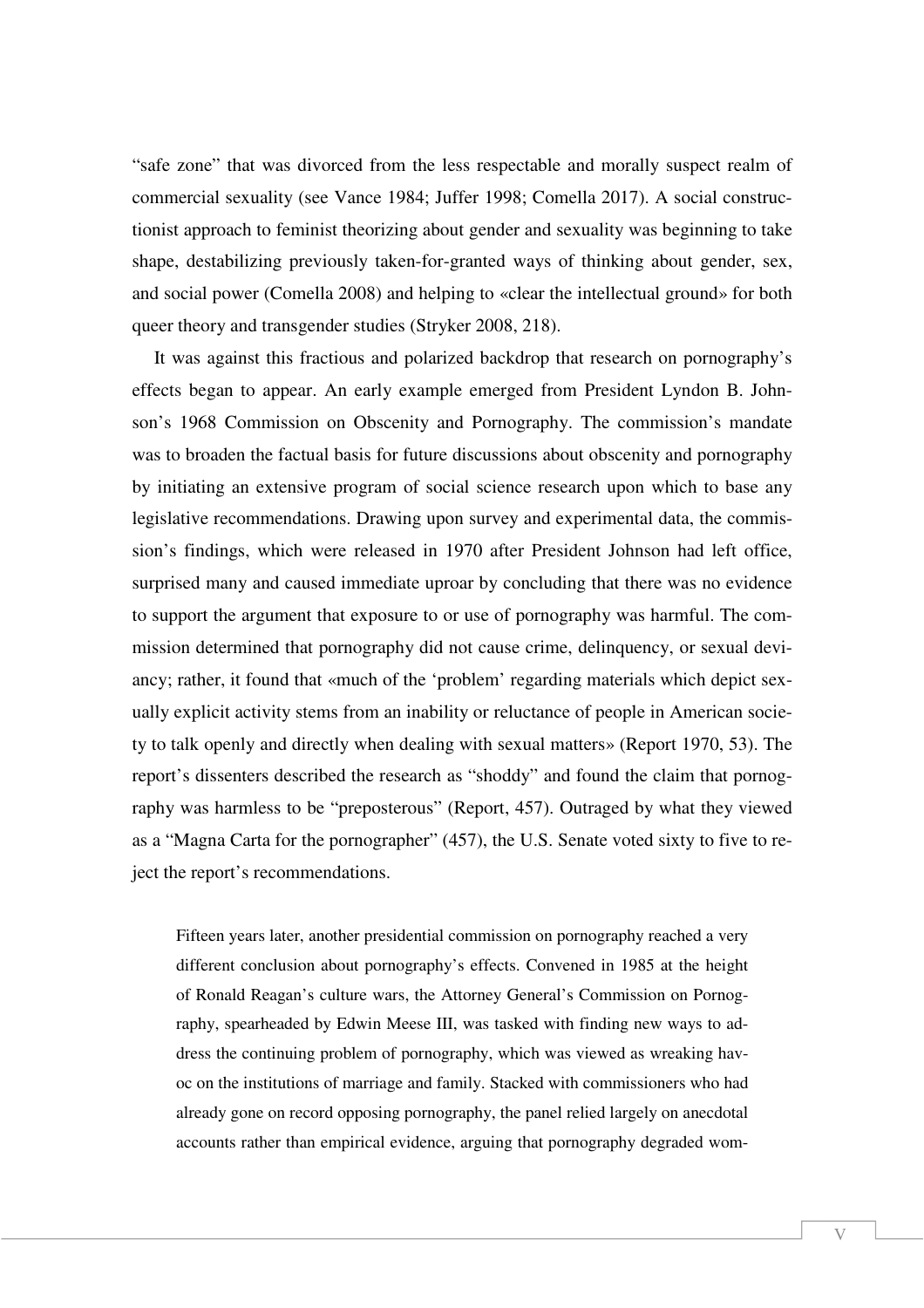"safe zone" that was divorced from the less respectable and morally suspect realm of commercial sexuality (see Vance 1984; Juffer 1998; Comella 2017). A social constructionist approach to feminist theorizing about gender and sexuality was beginning to take shape, destabilizing previously taken-for-granted ways of thinking about gender, sex, and social power (Comella 2008) and helping to «clear the intellectual ground» for both queer theory and transgender studies (Stryker 2008, 218).

It was against this fractious and polarized backdrop that research on pornography's effects began to appear. An early example emerged from President Lyndon B. Johnson's 1968 Commission on Obscenity and Pornography. The commission's mandate was to broaden the factual basis for future discussions about obscenity and pornography by initiating an extensive program of social science research upon which to base any legislative recommendations. Drawing upon survey and experimental data, the commission's findings, which were released in 1970 after President Johnson had left office, surprised many and caused immediate uproar by concluding that there was no evidence to support the argument that exposure to or use of pornography was harmful. The commission determined that pornography did not cause crime, delinquency, or sexual deviancy; rather, it found that «much of the 'problem' regarding materials which depict sexually explicit activity stems from an inability or reluctance of people in American society to talk openly and directly when dealing with sexual matters» (Report 1970, 53). The report's dissenters described the research as "shoddy" and found the claim that pornography was harmless to be "preposterous" (Report, 457). Outraged by what they viewed as a "Magna Carta for the pornographer" (457), the U.S. Senate voted sixty to five to reject the report's recommendations.

Fifteen years later, another presidential commission on pornography reached a very different conclusion about pornography's effects. Convened in 1985 at the height of Ronald Reagan's culture wars, the Attorney General's Commission on Pornography, spearheaded by Edwin Meese III, was tasked with finding new ways to address the continuing problem of pornography, which was viewed as wreaking havoc on the institutions of marriage and family. Stacked with commissioners who had already gone on record opposing pornography, the panel relied largely on anecdotal accounts rather than empirical evidence, arguing that pornography degraded wom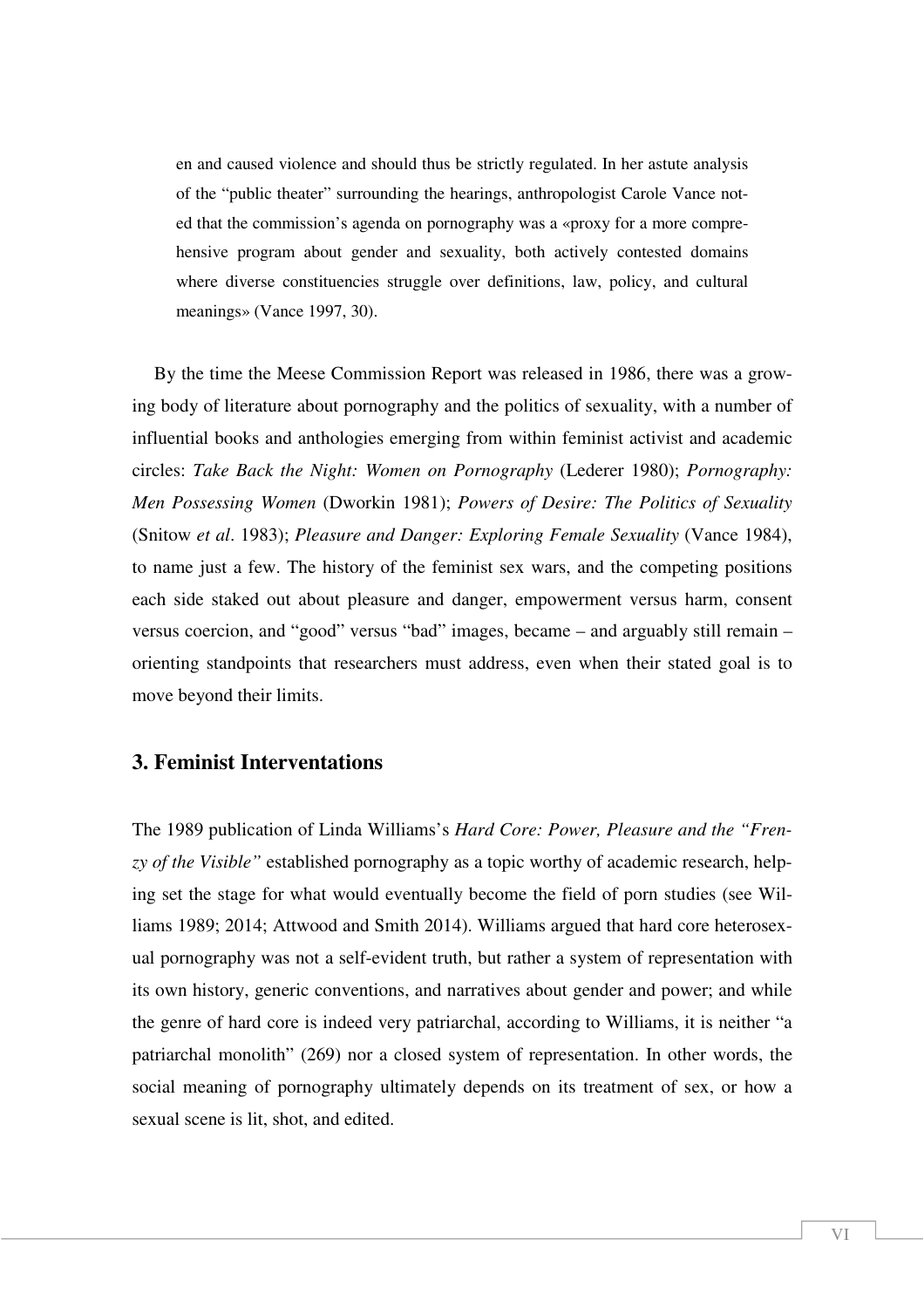en and caused violence and should thus be strictly regulated. In her astute analysis of the "public theater" surrounding the hearings, anthropologist Carole Vance noted that the commission's agenda on pornography was a «proxy for a more comprehensive program about gender and sexuality, both actively contested domains where diverse constituencies struggle over definitions, law, policy, and cultural meanings» (Vance 1997, 30).

By the time the Meese Commission Report was released in 1986, there was a growing body of literature about pornography and the politics of sexuality, with a number of influential books and anthologies emerging from within feminist activist and academic circles: *Take Back the Night: Women on Pornography* (Lederer 1980); *Pornography: Men Possessing Women* (Dworkin 1981); *Powers of Desire: The Politics of Sexuality* (Snitow *et al*. 1983); *Pleasure and Danger: Exploring Female Sexuality* (Vance 1984), to name just a few. The history of the feminist sex wars, and the competing positions each side staked out about pleasure and danger, empowerment versus harm, consent versus coercion, and "good" versus "bad" images, became – and arguably still remain – orienting standpoints that researchers must address, even when their stated goal is to move beyond their limits.

#### **3. Feminist Interventations**

The 1989 publication of Linda Williams's *Hard Core: Power, Pleasure and the "Frenzy of the Visible"* established pornography as a topic worthy of academic research, helping set the stage for what would eventually become the field of porn studies (see Williams 1989; 2014; Attwood and Smith 2014). Williams argued that hard core heterosexual pornography was not a self-evident truth, but rather a system of representation with its own history, generic conventions, and narratives about gender and power; and while the genre of hard core is indeed very patriarchal, according to Williams, it is neither "a patriarchal monolith" (269) nor a closed system of representation. In other words, the social meaning of pornography ultimately depends on its treatment of sex, or how a sexual scene is lit, shot, and edited.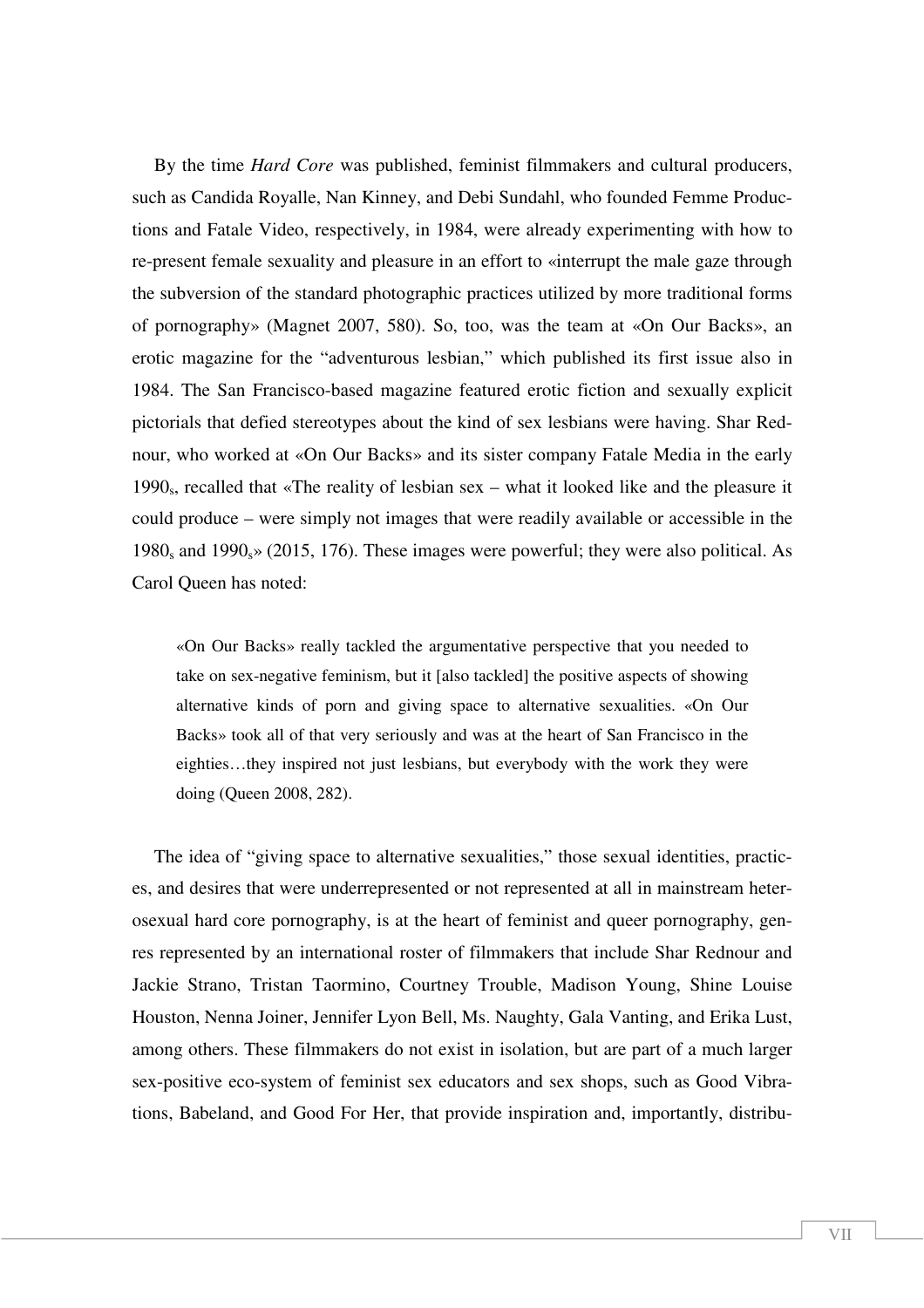By the time *Hard Core* was published, feminist filmmakers and cultural producers, such as Candida Royalle, Nan Kinney, and Debi Sundahl, who founded Femme Productions and Fatale Video, respectively, in 1984, were already experimenting with how to re-present female sexuality and pleasure in an effort to «interrupt the male gaze through the subversion of the standard photographic practices utilized by more traditional forms of pornography» (Magnet 2007, 580). So, too, was the team at «On Our Backs», an erotic magazine for the "adventurous lesbian," which published its first issue also in 1984. The San Francisco-based magazine featured erotic fiction and sexually explicit pictorials that defied stereotypes about the kind of sex lesbians were having. Shar Rednour, who worked at «On Our Backs» and its sister company Fatale Media in the early 1990<sub>s</sub>, recalled that «The reality of lesbian sex – what it looked like and the pleasure it could produce – were simply not images that were readily available or accessible in the 1980<sub>s</sub> and 1990<sub>s</sub>» (2015, 176). These images were powerful; they were also political. As Carol Queen has noted:

«On Our Backs» really tackled the argumentative perspective that you needed to take on sex-negative feminism, but it [also tackled] the positive aspects of showing alternative kinds of porn and giving space to alternative sexualities. «On Our Backs» took all of that very seriously and was at the heart of San Francisco in the eighties…they inspired not just lesbians, but everybody with the work they were doing (Queen 2008, 282).

The idea of "giving space to alternative sexualities," those sexual identities, practices, and desires that were underrepresented or not represented at all in mainstream heterosexual hard core pornography, is at the heart of feminist and queer pornography, genres represented by an international roster of filmmakers that include Shar Rednour and Jackie Strano, Tristan Taormino, Courtney Trouble, Madison Young, Shine Louise Houston, Nenna Joiner, Jennifer Lyon Bell, Ms. Naughty, Gala Vanting, and Erika Lust, among others. These filmmakers do not exist in isolation, but are part of a much larger sex-positive eco-system of feminist sex educators and sex shops, such as Good Vibrations, Babeland, and Good For Her, that provide inspiration and, importantly, distribu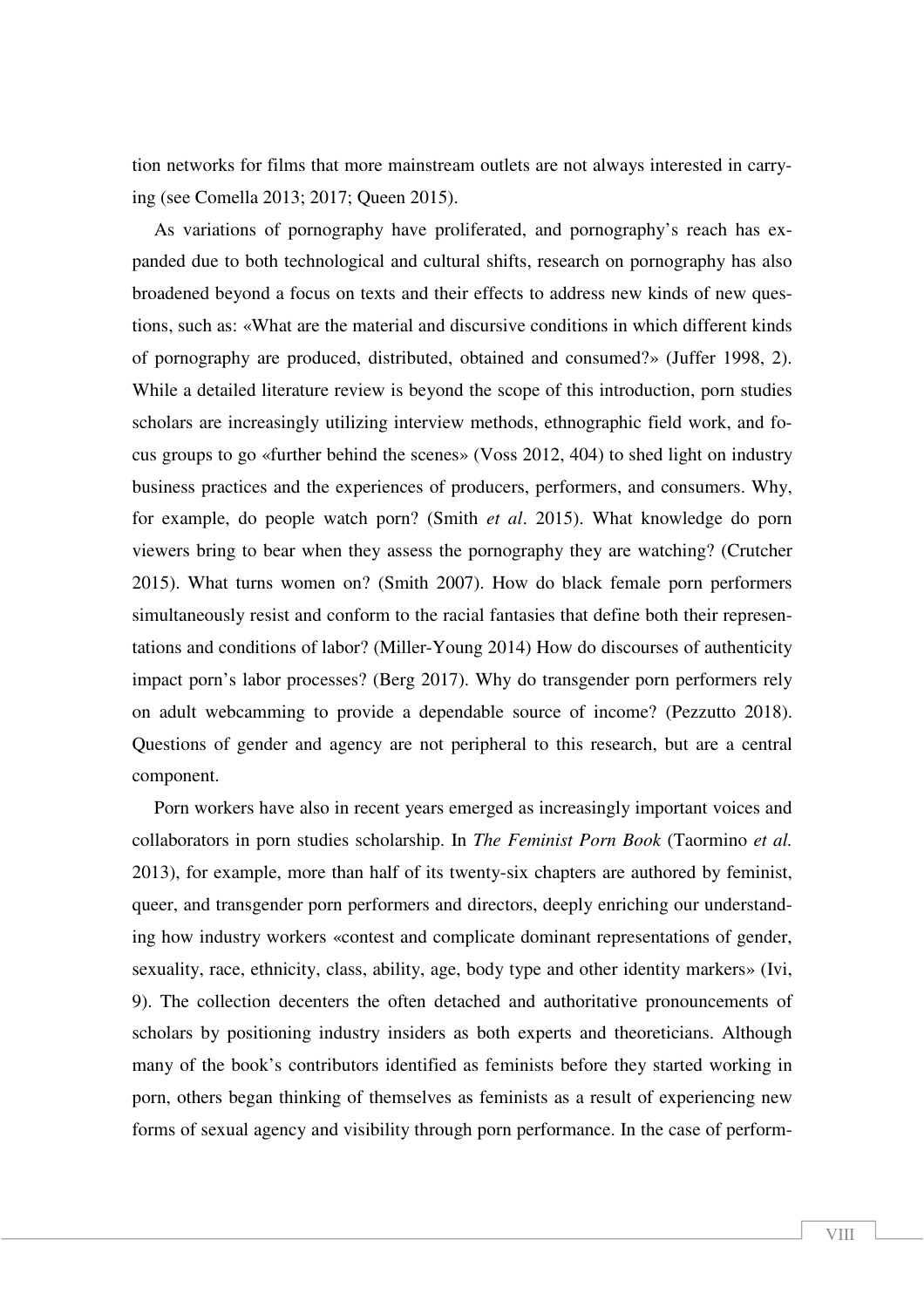tion networks for films that more mainstream outlets are not always interested in carrying (see Comella 2013; 2017; Queen 2015).

As variations of pornography have proliferated, and pornography's reach has expanded due to both technological and cultural shifts, research on pornography has also broadened beyond a focus on texts and their effects to address new kinds of new questions, such as: «What are the material and discursive conditions in which different kinds of pornography are produced, distributed, obtained and consumed?» (Juffer 1998, 2). While a detailed literature review is beyond the scope of this introduction, porn studies scholars are increasingly utilizing interview methods, ethnographic field work, and focus groups to go «further behind the scenes» (Voss 2012, 404) to shed light on industry business practices and the experiences of producers, performers, and consumers. Why, for example, do people watch porn? (Smith *et al*. 2015). What knowledge do porn viewers bring to bear when they assess the pornography they are watching? (Crutcher 2015). What turns women on? (Smith 2007). How do black female porn performers simultaneously resist and conform to the racial fantasies that define both their representations and conditions of labor? (Miller-Young 2014) How do discourses of authenticity impact porn's labor processes? (Berg 2017). Why do transgender porn performers rely on adult webcamming to provide a dependable source of income? (Pezzutto 2018). Questions of gender and agency are not peripheral to this research, but are a central component.

Porn workers have also in recent years emerged as increasingly important voices and collaborators in porn studies scholarship. In *The Feminist Porn Book* (Taormino *et al.* 2013), for example, more than half of its twenty-six chapters are authored by feminist, queer, and transgender porn performers and directors, deeply enriching our understanding how industry workers «contest and complicate dominant representations of gender, sexuality, race, ethnicity, class, ability, age, body type and other identity markers» (Ivi, 9). The collection decenters the often detached and authoritative pronouncements of scholars by positioning industry insiders as both experts and theoreticians. Although many of the book's contributors identified as feminists before they started working in porn, others began thinking of themselves as feminists as a result of experiencing new forms of sexual agency and visibility through porn performance. In the case of perform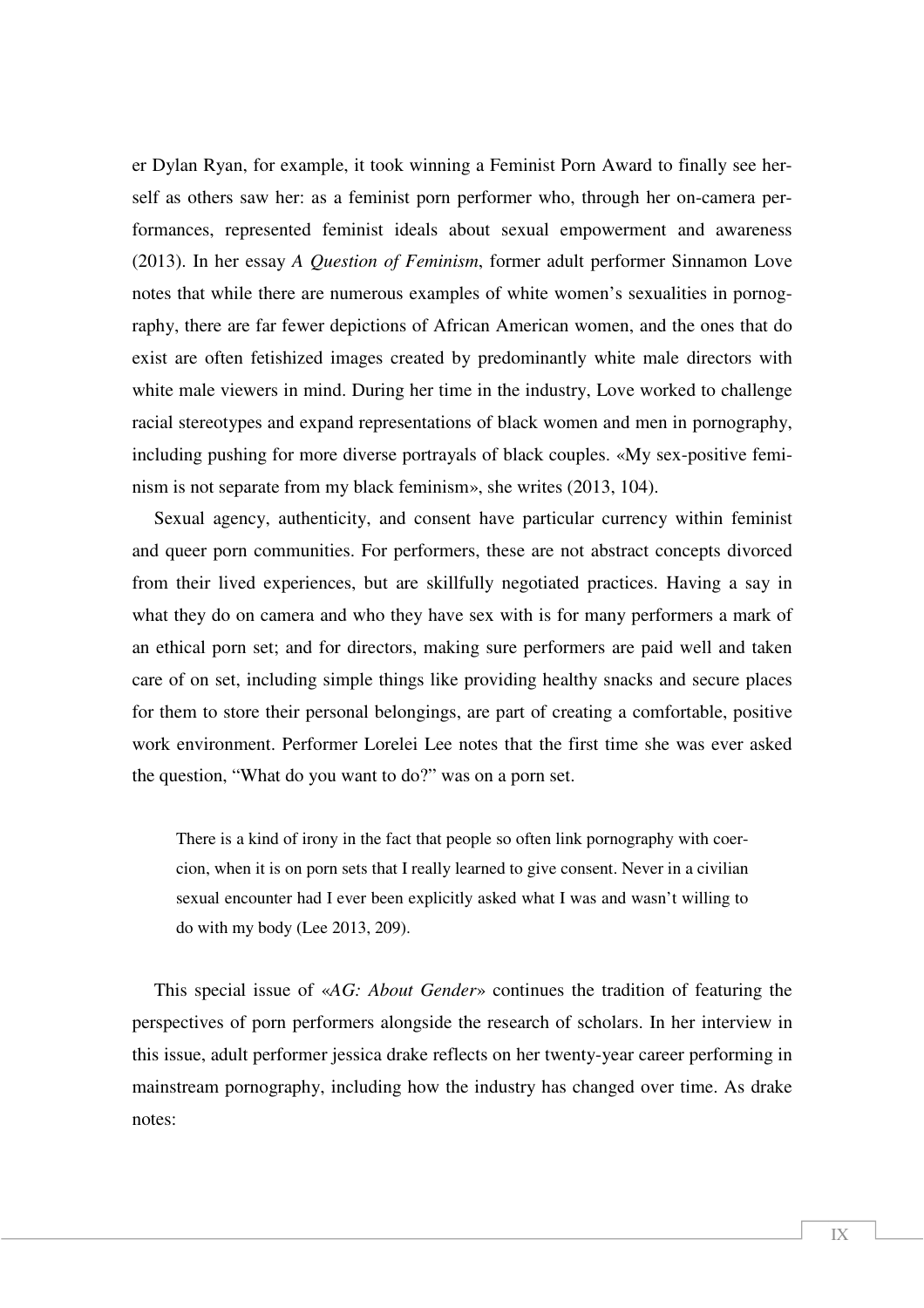er Dylan Ryan, for example, it took winning a Feminist Porn Award to finally see herself as others saw her: as a feminist porn performer who, through her on-camera performances, represented feminist ideals about sexual empowerment and awareness (2013). In her essay *A Question of Feminism*, former adult performer Sinnamon Love notes that while there are numerous examples of white women's sexualities in pornography, there are far fewer depictions of African American women, and the ones that do exist are often fetishized images created by predominantly white male directors with white male viewers in mind. During her time in the industry, Love worked to challenge racial stereotypes and expand representations of black women and men in pornography, including pushing for more diverse portrayals of black couples. «My sex-positive feminism is not separate from my black feminism», she writes (2013, 104).

Sexual agency, authenticity, and consent have particular currency within feminist and queer porn communities. For performers, these are not abstract concepts divorced from their lived experiences, but are skillfully negotiated practices. Having a say in what they do on camera and who they have sex with is for many performers a mark of an ethical porn set; and for directors, making sure performers are paid well and taken care of on set, including simple things like providing healthy snacks and secure places for them to store their personal belongings, are part of creating a comfortable, positive work environment. Performer Lorelei Lee notes that the first time she was ever asked the question, "What do you want to do?" was on a porn set.

There is a kind of irony in the fact that people so often link pornography with coercion, when it is on porn sets that I really learned to give consent. Never in a civilian sexual encounter had I ever been explicitly asked what I was and wasn't willing to do with my body (Lee 2013, 209).

This special issue of «*AG: About Gender*» continues the tradition of featuring the perspectives of porn performers alongside the research of scholars. In her interview in this issue, adult performer jessica drake reflects on her twenty-year career performing in mainstream pornography, including how the industry has changed over time. As drake notes: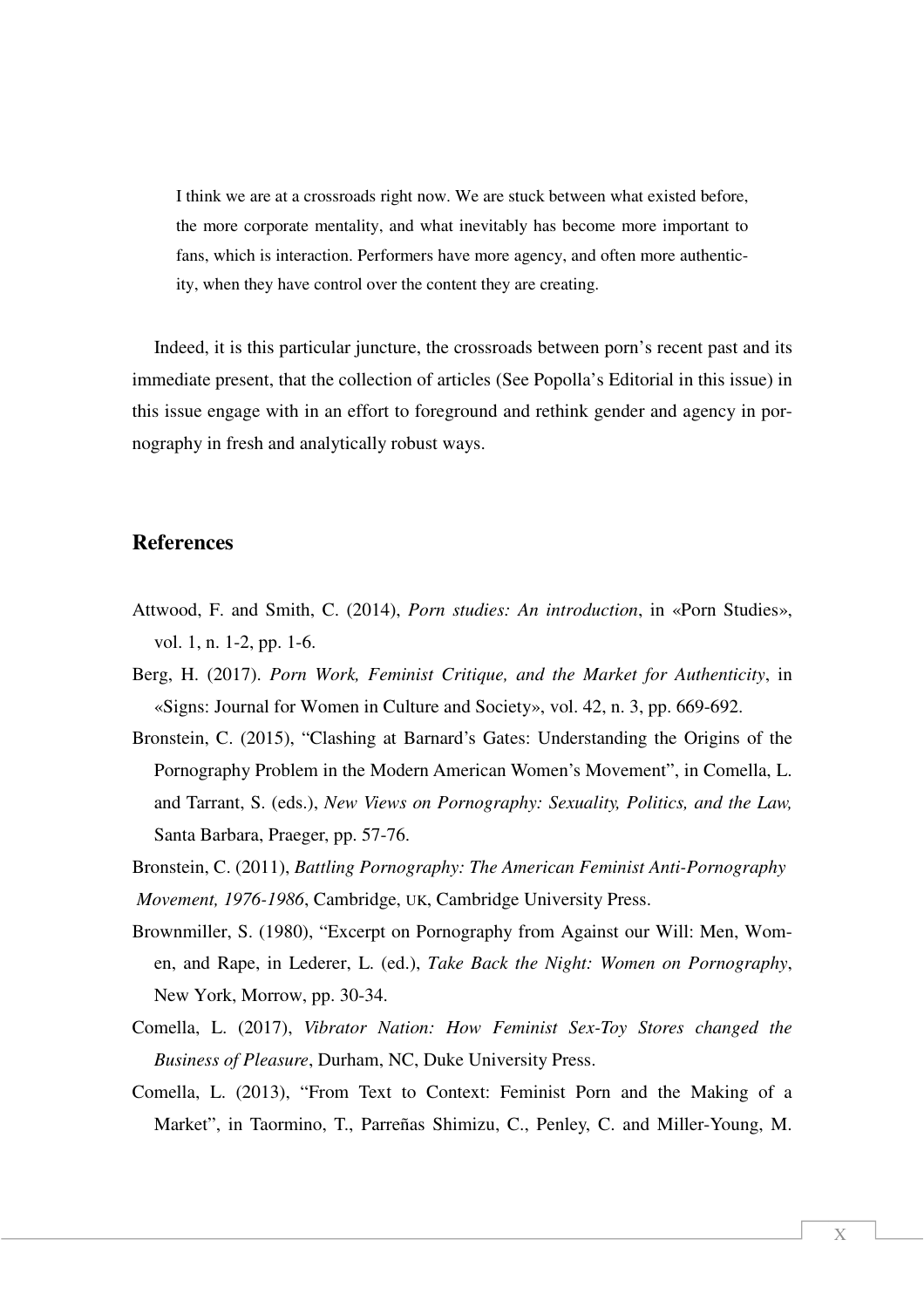I think we are at a crossroads right now. We are stuck between what existed before, the more corporate mentality, and what inevitably has become more important to fans, which is interaction. Performers have more agency, and often more authenticity, when they have control over the content they are creating.

Indeed, it is this particular juncture, the crossroads between porn's recent past and its immediate present, that the collection of articles (See Popolla's Editorial in this issue) in this issue engage with in an effort to foreground and rethink gender and agency in pornography in fresh and analytically robust ways.

### **References**

- Attwood, F. and Smith, C. (2014), *Porn studies: An introduction*, in «Porn Studies», vol. 1, n. 1-2, pp. 1-6.
- Berg, H. (2017). *Porn Work, Feminist Critique, and the Market for Authenticity*, in «Signs: Journal for Women in Culture and Society», vol. 42, n. 3, pp. 669-692.
- Bronstein, C. (2015), "Clashing at Barnard's Gates: Understanding the Origins of the Pornography Problem in the Modern American Women's Movement", in Comella, L. and Tarrant, S. (eds.), *New Views on Pornography: Sexuality, Politics, and the Law,* Santa Barbara, Praeger, pp. 57-76.
- Bronstein, C. (2011), *Battling Pornography: The American Feminist Anti-Pornography Movement, 1976-1986*, Cambridge, UK, Cambridge University Press.
- Brownmiller, S. (1980), "Excerpt on Pornography from Against our Will: Men, Women, and Rape, in Lederer, L. (ed.), *Take Back the Night: Women on Pornography*, New York, Morrow, pp. 30-34.
- Comella, L. (2017), *Vibrator Nation: How Feminist Sex-Toy Stores changed the Business of Pleasure*, Durham, NC, Duke University Press.
- Comella, L. (2013), "From Text to Context: Feminist Porn and the Making of a Market", in Taormino, T., Parreñas Shimizu, C., Penley, C. and Miller-Young, M.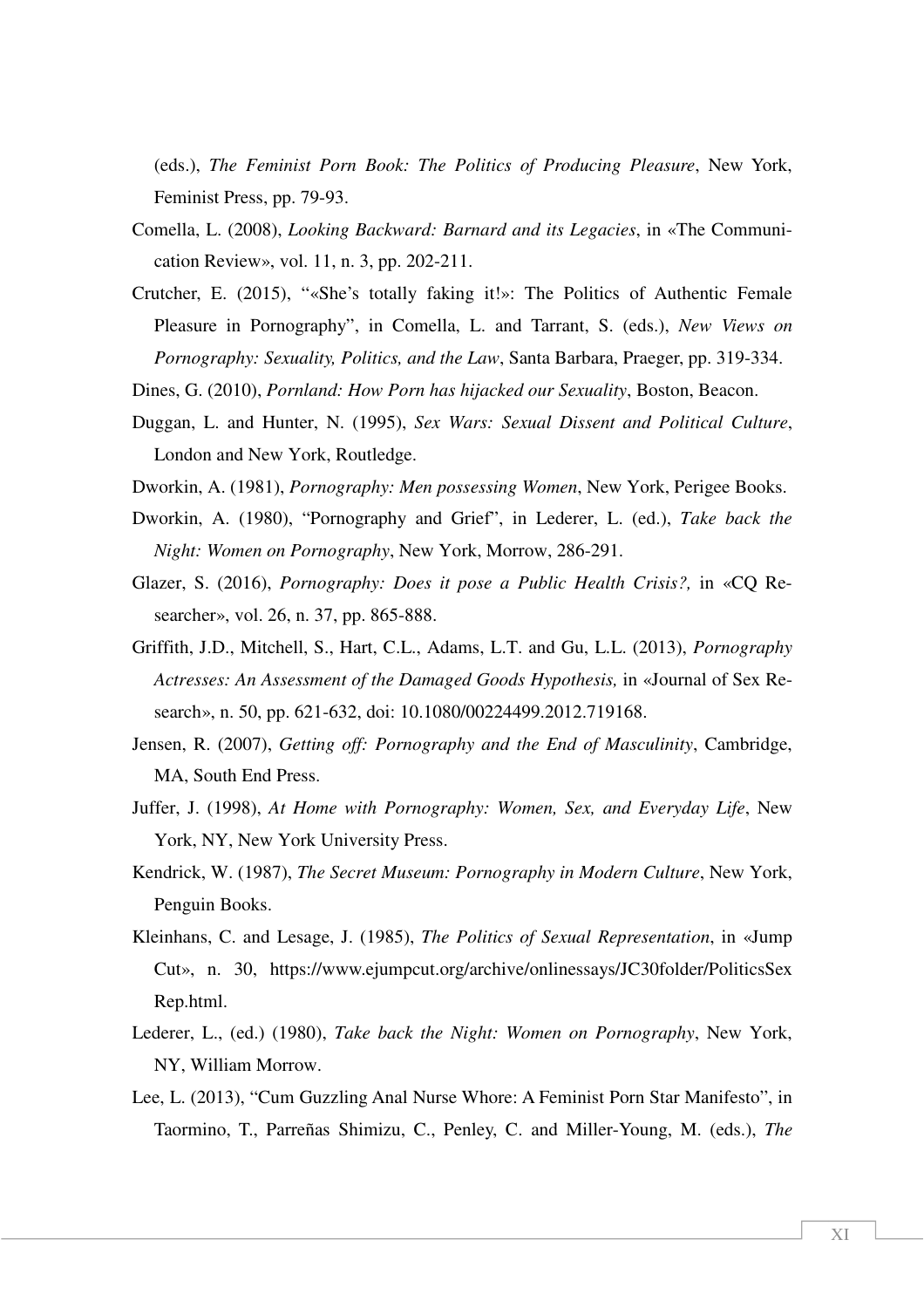(eds.), *The Feminist Porn Book: The Politics of Producing Pleasure*, New York, Feminist Press, pp. 79-93.

- Comella, L. (2008), *Looking Backward: Barnard and its Legacies*, in «The Communication Review», vol. 11, n. 3, pp. 202-211.
- Crutcher, E. (2015), "«She's totally faking it!»: The Politics of Authentic Female Pleasure in Pornography", in Comella, L. and Tarrant, S. (eds.), *New Views on Pornography: Sexuality, Politics, and the Law*, Santa Barbara, Praeger, pp. 319-334.
- Dines, G. (2010), *Pornland: How Porn has hijacked our Sexuality*, Boston, Beacon.
- Duggan, L. and Hunter, N. (1995), *Sex Wars: Sexual Dissent and Political Culture*, London and New York, Routledge.
- Dworkin, A. (1981), *Pornography: Men possessing Women*, New York, Perigee Books.
- Dworkin, A. (1980), "Pornography and Grief", in Lederer, L. (ed.), *Take back the Night: Women on Pornography*, New York, Morrow, 286-291.
- Glazer, S. (2016), *Pornography: Does it pose a Public Health Crisis?,* in «CQ Researcher», vol. 26, n. 37, pp. 865-888.
- Griffith, J.D., Mitchell, S., Hart, C.L., Adams, L.T. and Gu, L.L. (2013), *Pornography Actresses: An Assessment of the Damaged Goods Hypothesis,* in «Journal of Sex Research», n. 50, pp. 621-632, doi: 10.1080/00224499.2012.719168.
- Jensen, R. (2007), *Getting off: Pornography and the End of Masculinity*, Cambridge, MA, South End Press.
- Juffer, J. (1998), *At Home with Pornography: Women, Sex, and Everyday Life*, New York, NY, New York University Press.
- Kendrick, W. (1987), *The Secret Museum: Pornography in Modern Culture*, New York, Penguin Books.
- Kleinhans, C. and Lesage, J. (1985), *The Politics of Sexual Representation*, in «Jump Cut», n. 30, https://www.ejumpcut.org/archive/onlinessays/JC30folder/PoliticsSex Rep.html.
- Lederer, L., (ed.) (1980), *Take back the Night: Women on Pornography*, New York, NY, William Morrow.
- Lee, L. (2013), "Cum Guzzling Anal Nurse Whore: A Feminist Porn Star Manifesto", in Taormino, T., Parreñas Shimizu, C., Penley, C. and Miller-Young, M. (eds.), *The*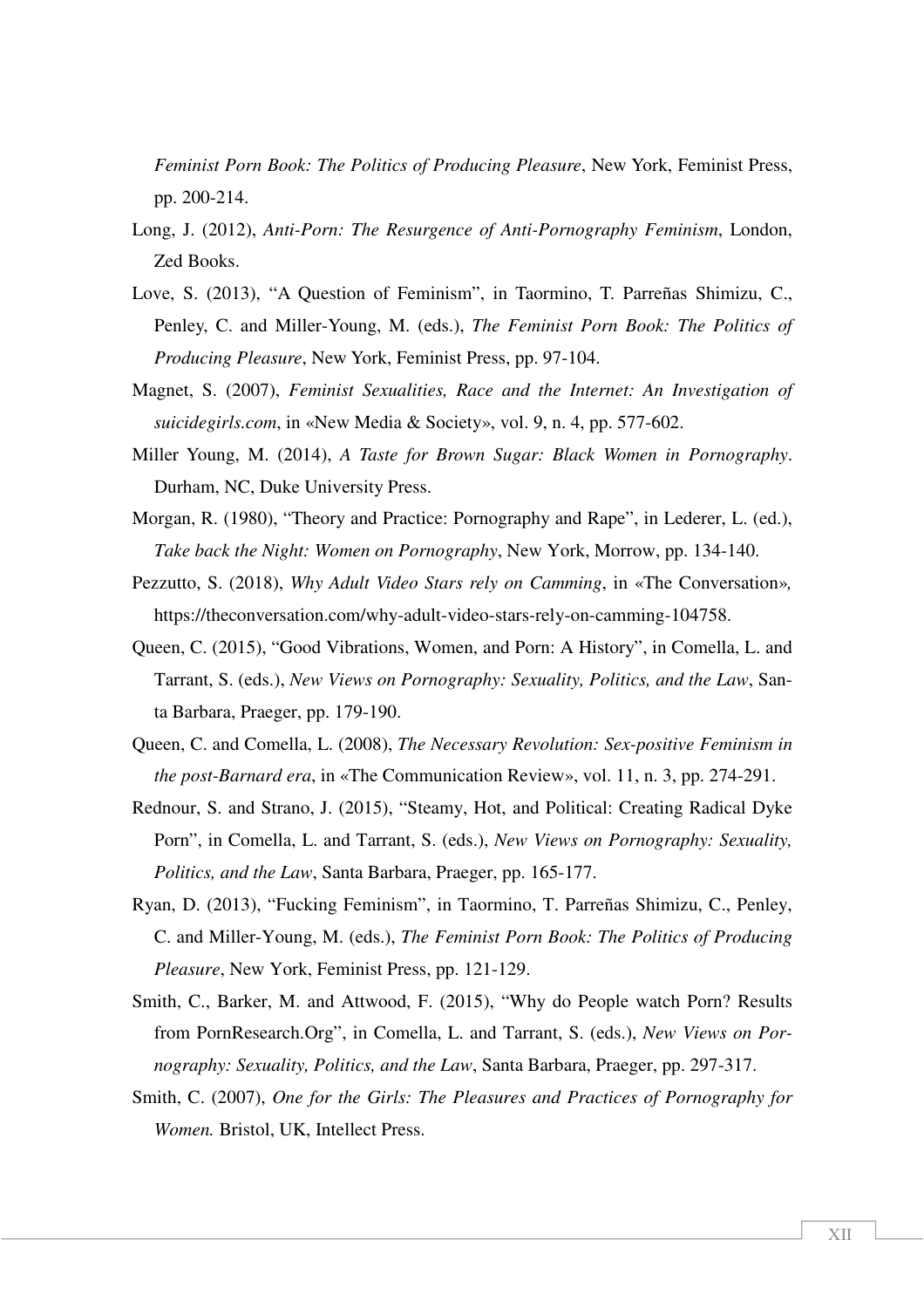*Feminist Porn Book: The Politics of Producing Pleasure*, New York, Feminist Press, pp. 200-214.

- Long, J. (2012), *Anti-Porn: The Resurgence of Anti-Pornography Feminism*, London, Zed Books.
- Love, S. (2013), "A Question of Feminism", in Taormino, T. Parreñas Shimizu, C., Penley, C. and Miller-Young, M. (eds.), *The Feminist Porn Book: The Politics of Producing Pleasure*, New York, Feminist Press, pp. 97-104.
- Magnet, S. (2007), *Feminist Sexualities, Race and the Internet: An Investigation of suicidegirls.com*, in «New Media & Society», vol. 9, n. 4, pp. 577-602.
- Miller Young, M. (2014), *A Taste for Brown Sugar: Black Women in Pornography*. Durham, NC, Duke University Press.
- Morgan, R. (1980), "Theory and Practice: Pornography and Rape", in Lederer, L. (ed.), *Take back the Night: Women on Pornography*, New York, Morrow, pp. 134-140.
- Pezzutto, S. (2018), *Why Adult Video Stars rely on Camming*, in «The Conversation»*,*  https://theconversation.com/why-adult-video-stars-rely-on-camming-104758.
- Queen, C. (2015), "Good Vibrations, Women, and Porn: A History", in Comella, L. and Tarrant, S. (eds.), *New Views on Pornography: Sexuality, Politics, and the Law*, Santa Barbara, Praeger, pp. 179-190.
- Queen, C. and Comella, L. (2008), *The Necessary Revolution: Sex-positive Feminism in the post-Barnard era*, in «The Communication Review», vol. 11, n. 3, pp. 274-291.
- Rednour, S. and Strano, J. (2015), "Steamy, Hot, and Political: Creating Radical Dyke Porn", in Comella, L. and Tarrant, S. (eds.), *New Views on Pornography: Sexuality, Politics, and the Law*, Santa Barbara, Praeger, pp. 165-177.
- Ryan, D. (2013), "Fucking Feminism", in Taormino, T. Parreñas Shimizu, C., Penley, C. and Miller-Young, M. (eds.), *The Feminist Porn Book: The Politics of Producing Pleasure*, New York, Feminist Press, pp. 121-129.
- Smith, C., Barker, M. and Attwood, F. (2015), "Why do People watch Porn? Results from PornResearch.Org", in Comella, L. and Tarrant, S. (eds.), *New Views on Pornography: Sexuality, Politics, and the Law*, Santa Barbara, Praeger, pp. 297-317.
- Smith, C. (2007), *One for the Girls: The Pleasures and Practices of Pornography for Women.* Bristol, UK, Intellect Press.